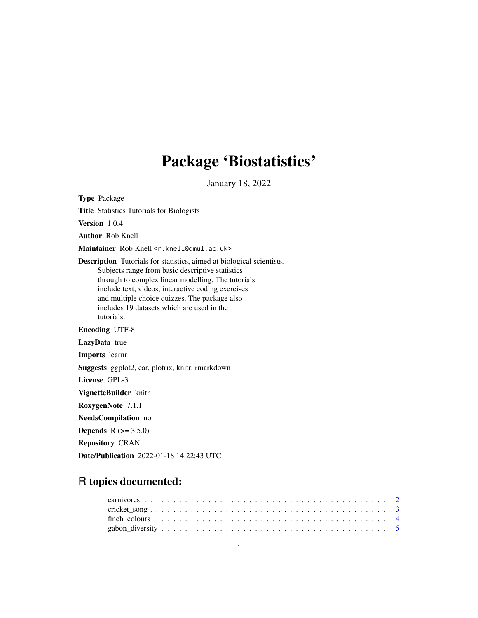## Package 'Biostatistics'

January 18, 2022

Type Package Title Statistics Tutorials for Biologists Version 1.0.4 Author Rob Knell Maintainer Rob Knell <r. knell@qmul.ac.uk> Description Tutorials for statistics, aimed at biological scientists. Subjects range from basic descriptive statistics through to complex linear modelling. The tutorials include text, videos, interactive coding exercises and multiple choice quizzes. The package also includes 19 datasets which are used in the tutorials. Encoding UTF-8 LazyData true Imports learnr Suggests ggplot2, car, plotrix, knitr, rmarkdown License GPL-3 VignetteBuilder knitr RoxygenNote 7.1.1 NeedsCompilation no **Depends**  $R (= 3.5.0)$ Repository CRAN Date/Publication 2022-01-18 14:22:43 UTC

## R topics documented:

| $cricket\_song \dots \dots \dots \dots \dots \dots \dots \dots \dots \dots \dots \dots \dots \dots \dots \dots \dots$ |  |  |  |  |  |  |  |  |  |  |  |  |  |  |  |  |  |  |  |  |  |
|-----------------------------------------------------------------------------------------------------------------------|--|--|--|--|--|--|--|--|--|--|--|--|--|--|--|--|--|--|--|--|--|
|                                                                                                                       |  |  |  |  |  |  |  |  |  |  |  |  |  |  |  |  |  |  |  |  |  |
|                                                                                                                       |  |  |  |  |  |  |  |  |  |  |  |  |  |  |  |  |  |  |  |  |  |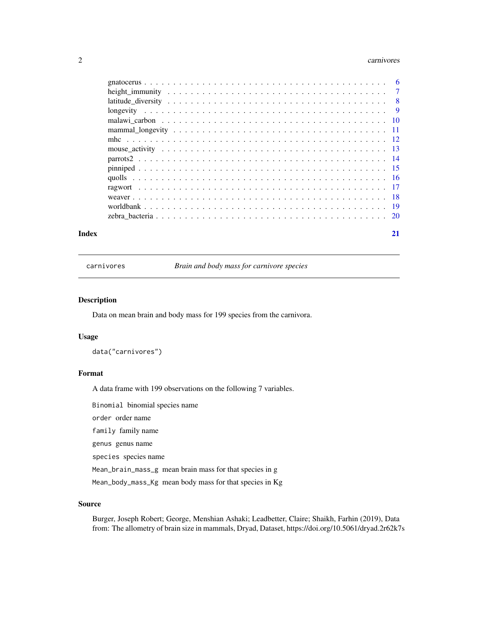#### <span id="page-1-0"></span>2 carnivores and the contract of the contract of the contract of the contract of the contract of the contract of the contract of the contract of the contract of the contract of the contract of the contract of the contract

| Index | 21 |
|-------|----|

carnivores *Brain and body mass for carnivore species*

#### Description

Data on mean brain and body mass for 199 species from the carnivora.

#### Usage

data("carnivores")

#### Format

A data frame with 199 observations on the following 7 variables.

Binomial binomial species name

order order name

family family name

genus genus name

species species name

Mean\_brain\_mass\_g mean brain mass for that species in g

Mean\_body\_mass\_Kg mean body mass for that species in Kg

#### Source

Burger, Joseph Robert; George, Menshian Ashaki; Leadbetter, Claire; Shaikh, Farhin (2019), Data from: The allometry of brain size in mammals, Dryad, Dataset, https://doi.org/10.5061/dryad.2r62k7s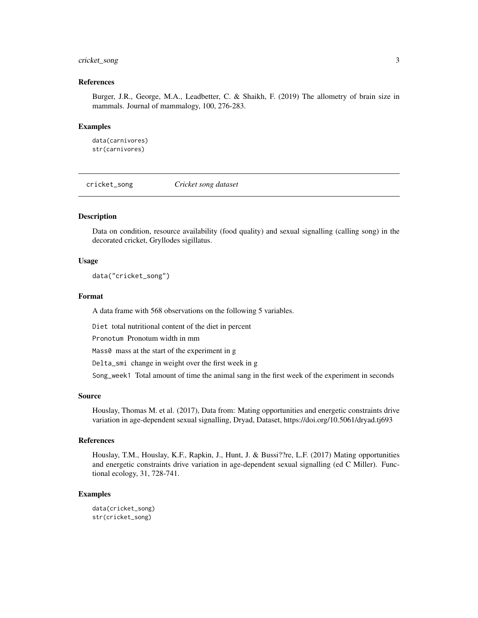### <span id="page-2-0"></span>cricket\_song 3

#### References

Burger, J.R., George, M.A., Leadbetter, C. & Shaikh, F. (2019) The allometry of brain size in mammals. Journal of mammalogy, 100, 276-283.

#### Examples

data(carnivores) str(carnivores)

cricket\_song *Cricket song dataset*

#### Description

Data on condition, resource availability (food quality) and sexual signalling (calling song) in the decorated cricket, Gryllodes sigillatus.

#### Usage

data("cricket\_song")

#### Format

A data frame with 568 observations on the following 5 variables.

Diet total nutritional content of the diet in percent

Pronotum Pronotum width in mm

Mass0 mass at the start of the experiment in g

Delta\_smi change in weight over the first week in g

Song\_week1 Total amount of time the animal sang in the first week of the experiment in seconds

#### Source

Houslay, Thomas M. et al. (2017), Data from: Mating opportunities and energetic constraints drive variation in age-dependent sexual signalling, Dryad, Dataset, https://doi.org/10.5061/dryad.tj693

#### References

Houslay, T.M., Houslay, K.F., Rapkin, J., Hunt, J. & Bussi??re, L.F. (2017) Mating opportunities and energetic constraints drive variation in age-dependent sexual signalling (ed C Miller). Functional ecology, 31, 728-741.

#### Examples

data(cricket\_song) str(cricket\_song)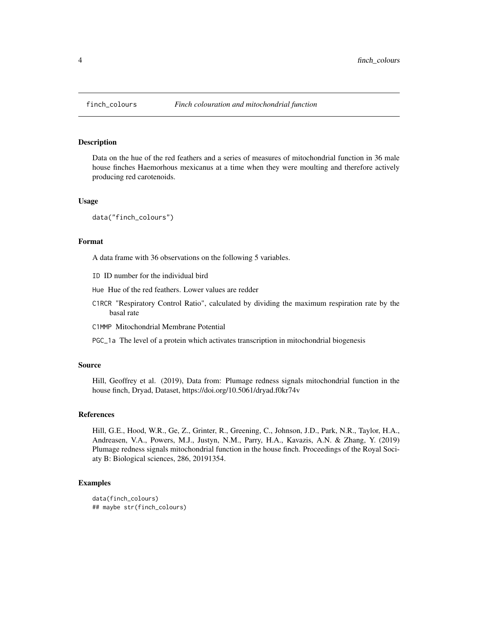Data on the hue of the red feathers and a series of measures of mitochondrial function in 36 male house finches Haemorhous mexicanus at a time when they were moulting and therefore actively producing red carotenoids.

#### Usage

```
data("finch_colours")
```
#### Format

A data frame with 36 observations on the following 5 variables.

ID ID number for the individual bird

Hue Hue of the red feathers. Lower values are redder

C1RCR "Respiratory Control Ratio", calculated by dividing the maximum respiration rate by the basal rate

C1MMP Mitochondrial Membrane Potential

PGC\_1a The level of a protein which activates transcription in mitochondrial biogenesis

#### Source

Hill, Geoffrey et al. (2019), Data from: Plumage redness signals mitochondrial function in the house finch, Dryad, Dataset, https://doi.org/10.5061/dryad.f0kr74v

#### References

Hill, G.E., Hood, W.R., Ge, Z., Grinter, R., Greening, C., Johnson, J.D., Park, N.R., Taylor, H.A., Andreasen, V.A., Powers, M.J., Justyn, N.M., Parry, H.A., Kavazis, A.N. & Zhang, Y. (2019) Plumage redness signals mitochondrial function in the house finch. Proceedings of the Royal Sociaty B: Biological sciences, 286, 20191354.

```
data(finch_colours)
## maybe str(finch_colours)
```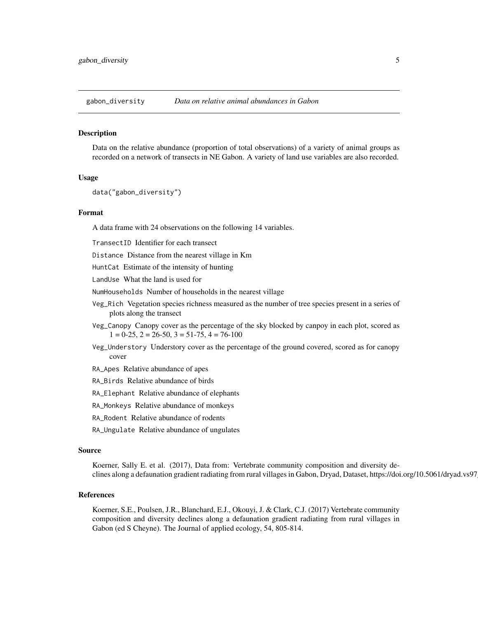<span id="page-4-0"></span>

Data on the relative abundance (proportion of total observations) of a variety of animal groups as recorded on a network of transects in NE Gabon. A variety of land use variables are also recorded.

#### Usage

```
data("gabon_diversity")
```
#### Format

A data frame with 24 observations on the following 14 variables.

TransectID Identifier for each transect

Distance Distance from the nearest village in Km

HuntCat Estimate of the intensity of hunting

LandUse What the land is used for

NumHouseholds Number of households in the nearest village

- Veg\_Rich Vegetation species richness measured as the number of tree species present in a series of plots along the transect
- Veg\_Canopy Canopy cover as the percentage of the sky blocked by canpoy in each plot, scored as  $1 = 0-25$ ,  $2 = 26-50$ ,  $3 = 51-75$ ,  $4 = 76-100$
- Veg\_Understory Understory cover as the percentage of the ground covered, scored as for canopy cover
- RA\_Apes Relative abundance of apes
- RA\_Birds Relative abundance of birds
- RA\_Elephant Relative abundance of elephants
- RA\_Monkeys Relative abundance of monkeys
- RA\_Rodent Relative abundance of rodents
- RA\_Ungulate Relative abundance of ungulates

#### Source

Koerner, Sally E. et al. (2017), Data from: Vertebrate community composition and diversity declines along a defaunation gradient radiating from rural villages in Gabon, Dryad, Dataset, https://doi.org/10.5061/dryad.vs97g

#### References

Koerner, S.E., Poulsen, J.R., Blanchard, E.J., Okouyi, J. & Clark, C.J. (2017) Vertebrate community composition and diversity declines along a defaunation gradient radiating from rural villages in Gabon (ed S Cheyne). The Journal of applied ecology, 54, 805-814.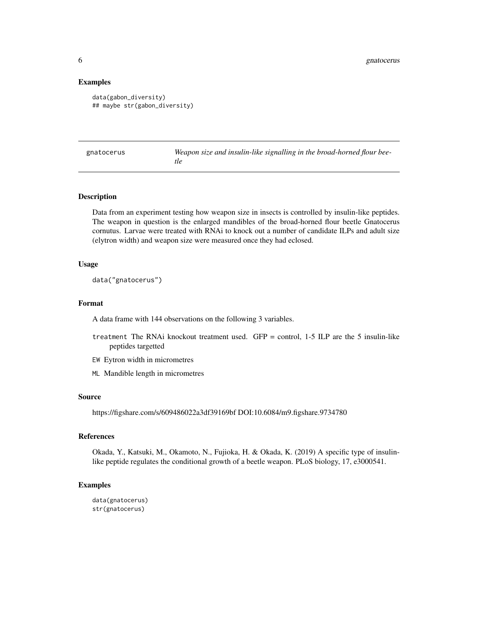#### Examples

```
data(gabon_diversity)
## maybe str(gabon_diversity)
```

| gnatocerus | Weapon size and insulin-like signalling in the broad-horned flour bee- |
|------------|------------------------------------------------------------------------|
|            | tle                                                                    |

#### Description

Data from an experiment testing how weapon size in insects is controlled by insulin-like peptides. The weapon in question is the enlarged mandibles of the broad-horned flour beetle Gnatocerus cornutus. Larvae were treated with RNAi to knock out a number of candidate ILPs and adult size (elytron width) and weapon size were measured once they had eclosed.

#### Usage

```
data("gnatocerus")
```
#### Format

A data frame with 144 observations on the following 3 variables.

- treatment The RNAi knockout treatment used. GFP = control, 1-5 ILP are the 5 insulin-like peptides targetted
- EW Eytron width in micrometres
- ML Mandible length in micrometres

#### Source

https://figshare.com/s/609486022a3df39169bf DOI:10.6084/m9.figshare.9734780

#### References

Okada, Y., Katsuki, M., Okamoto, N., Fujioka, H. & Okada, K. (2019) A specific type of insulinlike peptide regulates the conditional growth of a beetle weapon. PLoS biology, 17, e3000541.

```
data(gnatocerus)
str(gnatocerus)
```
<span id="page-5-0"></span>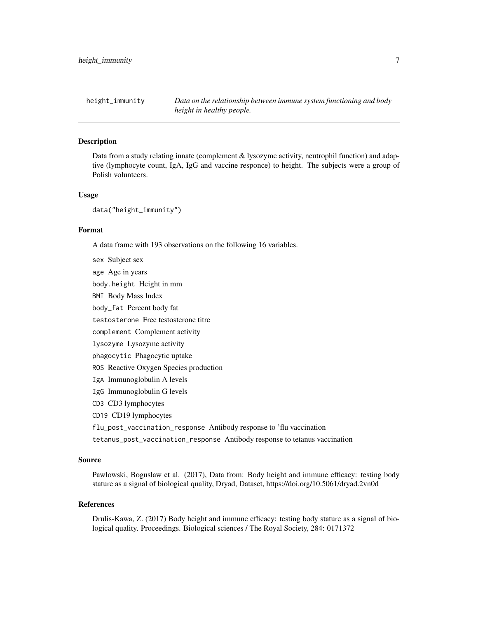<span id="page-6-0"></span>height\_immunity *Data on the relationship between immune system functioning and body height in healthy people.*

#### **Description**

Data from a study relating innate (complement & lysozyme activity, neutrophil function) and adaptive (lymphocyte count, IgA, IgG and vaccine responce) to height. The subjects were a group of Polish volunteers.

#### Usage

data("height\_immunity")

#### Format

A data frame with 193 observations on the following 16 variables.

sex Subject sex

age Age in years

body.height Height in mm

BMI Body Mass Index

body\_fat Percent body fat

testosterone Free testosterone titre

complement Complement activity

lysozyme Lysozyme activity

phagocytic Phagocytic uptake

ROS Reactive Oxygen Species production

IgA Immunoglobulin A levels

IgG Immunoglobulin G levels

CD3 CD3 lymphocytes

CD19 CD19 lymphocytes

flu\_post\_vaccination\_response Antibody response to 'flu vaccination

tetanus\_post\_vaccination\_response Antibody response to tetanus vaccination

#### Source

Pawlowski, Boguslaw et al. (2017), Data from: Body height and immune efficacy: testing body stature as a signal of biological quality, Dryad, Dataset, https://doi.org/10.5061/dryad.2vn0d

#### References

Drulis-Kawa, Z. (2017) Body height and immune efficacy: testing body stature as a signal of biological quality. Proceedings. Biological sciences / The Royal Society, 284: 0171372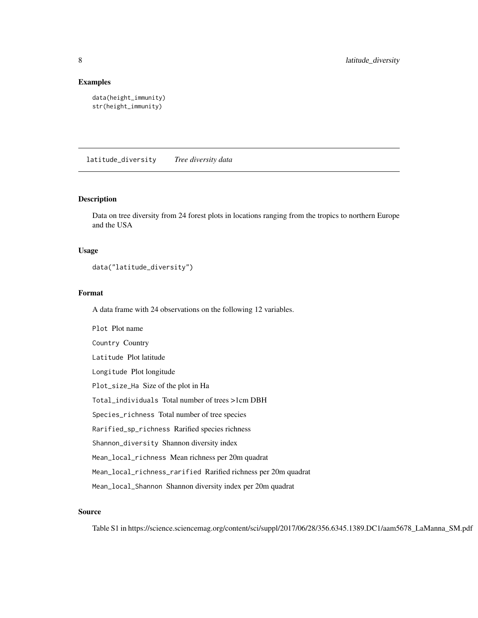#### <span id="page-7-0"></span>Examples

```
data(height_immunity)
str(height_immunity)
```
latitude\_diversity *Tree diversity data*

#### Description

Data on tree diversity from 24 forest plots in locations ranging from the tropics to northern Europe and the USA

#### Usage

```
data("latitude_diversity")
```
#### Format

A data frame with 24 observations on the following 12 variables.

Plot Plot name Country Country Latitude Plot latitude Longitude Plot longitude Plot\_size\_Ha Size of the plot in Ha Total\_individuals Total number of trees >1cm DBH Species\_richness Total number of tree species Rarified\_sp\_richness Rarified species richness Shannon\_diversity Shannon diversity index Mean\_local\_richness Mean richness per 20m quadrat Mean\_local\_richness\_rarified Rarified richness per 20m quadrat Mean\_local\_Shannon Shannon diversity index per 20m quadrat

### Source

Table S1 in https://science.sciencemag.org/content/sci/suppl/2017/06/28/356.6345.1389.DC1/aam5678\_LaManna\_SM.pdf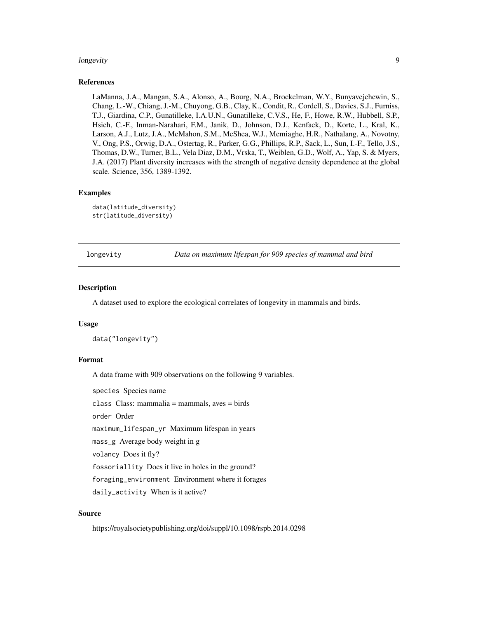#### <span id="page-8-0"></span>longevity 9

#### References

LaManna, J.A., Mangan, S.A., Alonso, A., Bourg, N.A., Brockelman, W.Y., Bunyavejchewin, S., Chang, L.-W., Chiang, J.-M., Chuyong, G.B., Clay, K., Condit, R., Cordell, S., Davies, S.J., Furniss, T.J., Giardina, C.P., Gunatilleke, I.A.U.N., Gunatilleke, C.V.S., He, F., Howe, R.W., Hubbell, S.P., Hsieh, C.-F., Inman-Narahari, F.M., Janik, D., Johnson, D.J., Kenfack, D., Korte, L., Kral, K., Larson, A.J., Lutz, J.A., McMahon, S.M., McShea, W.J., Memiaghe, H.R., Nathalang, A., Novotny, V., Ong, P.S., Orwig, D.A., Ostertag, R., Parker, G.G., Phillips, R.P., Sack, L., Sun, I.-F., Tello, J.S., Thomas, D.W., Turner, B.L., Vela Diaz, D.M., Vrska, T., Weiblen, G.D., Wolf, A., Yap, S. & Myers, J.A. (2017) Plant diversity increases with the strength of negative density dependence at the global scale. Science, 356, 1389-1392.

#### Examples

```
data(latitude_diversity)
str(latitude_diversity)
```
longevity *Data on maximum lifespan for 909 species of mammal and bird*

#### **Description**

A dataset used to explore the ecological correlates of longevity in mammals and birds.

#### Usage

data("longevity")

#### Format

A data frame with 909 observations on the following 9 variables.

species Species name

class Class: mammalia = mammals, aves = birds

order Order

maximum\_lifespan\_yr Maximum lifespan in years

mass\_g Average body weight in g

volancy Does it fly?

fossoriallity Does it live in holes in the ground?

foraging\_environment Environment where it forages

daily\_activity When is it active?

#### Source

https://royalsocietypublishing.org/doi/suppl/10.1098/rspb.2014.0298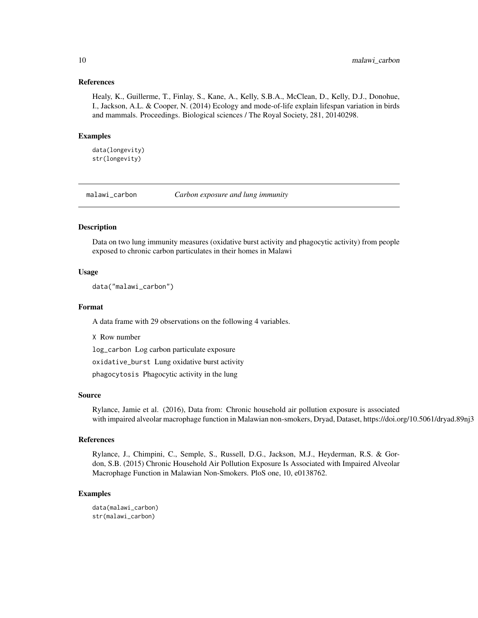#### <span id="page-9-0"></span>References

Healy, K., Guillerme, T., Finlay, S., Kane, A., Kelly, S.B.A., McClean, D., Kelly, D.J., Donohue, I., Jackson, A.L. & Cooper, N. (2014) Ecology and mode-of-life explain lifespan variation in birds and mammals. Proceedings. Biological sciences / The Royal Society, 281, 20140298.

#### Examples

data(longevity) str(longevity)

malawi\_carbon *Carbon exposure and lung immunity*

### Description

Data on two lung immunity measures (oxidative burst activity and phagocytic activity) from people exposed to chronic carbon particulates in their homes in Malawi

#### Usage

data("malawi\_carbon")

#### Format

A data frame with 29 observations on the following 4 variables.

X Row number log\_carbon Log carbon particulate exposure oxidative\_burst Lung oxidative burst activity phagocytosis Phagocytic activity in the lung

#### Source

Rylance, Jamie et al. (2016), Data from: Chronic household air pollution exposure is associated with impaired alveolar macrophage function in Malawian non-smokers, Dryad, Dataset, https://doi.org/10.5061/dryad.89nj3

#### References

Rylance, J., Chimpini, C., Semple, S., Russell, D.G., Jackson, M.J., Heyderman, R.S. & Gordon, S.B. (2015) Chronic Household Air Pollution Exposure Is Associated with Impaired Alveolar Macrophage Function in Malawian Non-Smokers. PloS one, 10, e0138762.

#### Examples

data(malawi\_carbon) str(malawi\_carbon)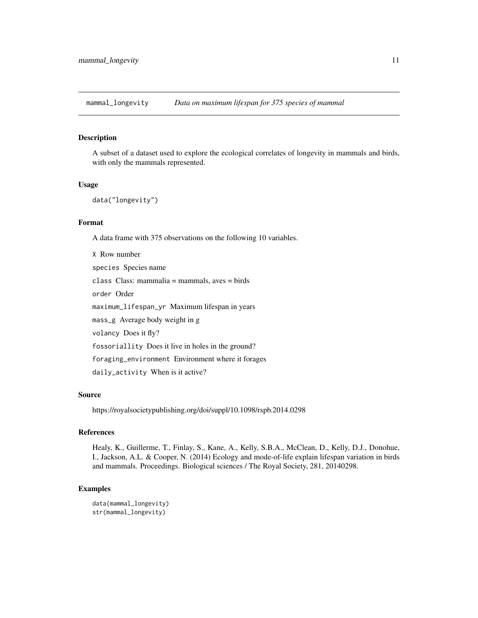<span id="page-10-0"></span>mammal\_longevity *Data on maximum lifespan for 375 species of mammal*

#### Description

A subset of a dataset used to explore the ecological correlates of longevity in mammals and birds, with only the mammals represented.

#### Usage

```
data("longevity")
```
#### Format

A data frame with 375 observations on the following 10 variables.

X Row number species Species name class Class: mammalia = mammals, aves = birds order Order maximum\_lifespan\_yr Maximum lifespan in years mass\_g Average body weight in g volancy Does it fly? fossoriallity Does it live in holes in the ground? foraging\_environment Environment where it forages daily\_activity When is it active?

#### Source

https://royalsocietypublishing.org/doi/suppl/10.1098/rspb.2014.0298

#### References

Healy, K., Guillerme, T., Finlay, S., Kane, A., Kelly, S.B.A., McClean, D., Kelly, D.J., Donohue, I., Jackson, A.L. & Cooper, N. (2014) Ecology and mode-of-life explain lifespan variation in birds and mammals. Proceedings. Biological sciences / The Royal Society, 281, 20140298.

```
data(mammal_longevity)
str(mammal_longevity)
```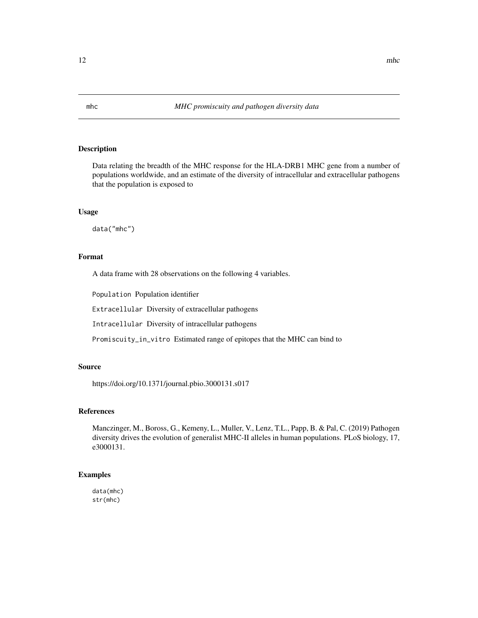<span id="page-11-0"></span>Data relating the breadth of the MHC response for the HLA-DRB1 MHC gene from a number of populations worldwide, and an estimate of the diversity of intracellular and extracellular pathogens that the population is exposed to

#### Usage

data("mhc")

#### Format

A data frame with 28 observations on the following 4 variables.

Population Population identifier

Extracellular Diversity of extracellular pathogens

Intracellular Diversity of intracellular pathogens

Promiscuity\_in\_vitro Estimated range of epitopes that the MHC can bind to

#### Source

https://doi.org/10.1371/journal.pbio.3000131.s017

#### References

Manczinger, M., Boross, G., Kemeny, L., Muller, V., Lenz, T.L., Papp, B. & Pal, C. (2019) Pathogen diversity drives the evolution of generalist MHC-II alleles in human populations. PLoS biology, 17, e3000131.

#### Examples

data(mhc) str(mhc)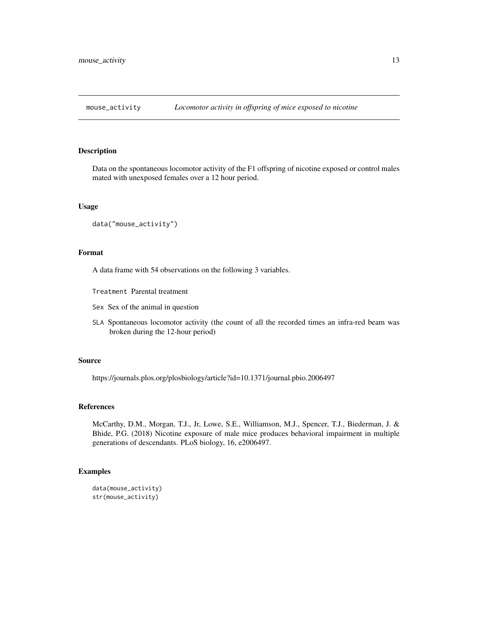<span id="page-12-0"></span>

Data on the spontaneous locomotor activity of the F1 offspring of nicotine exposed or control males mated with unexposed females over a 12 hour period.

#### Usage

```
data("mouse_activity")
```
#### Format

A data frame with 54 observations on the following 3 variables.

Treatment Parental treatment

- Sex Sex of the animal in question
- SLA Spontaneous locomotor activity (the count of all the recorded times an infra-red beam was broken during the 12-hour period)

#### Source

https://journals.plos.org/plosbiology/article?id=10.1371/journal.pbio.2006497

#### References

McCarthy, D.M., Morgan, T.J., Jr, Lowe, S.E., Williamson, M.J., Spencer, T.J., Biederman, J. & Bhide, P.G. (2018) Nicotine exposure of male mice produces behavioral impairment in multiple generations of descendants. PLoS biology, 16, e2006497.

```
data(mouse_activity)
str(mouse_activity)
```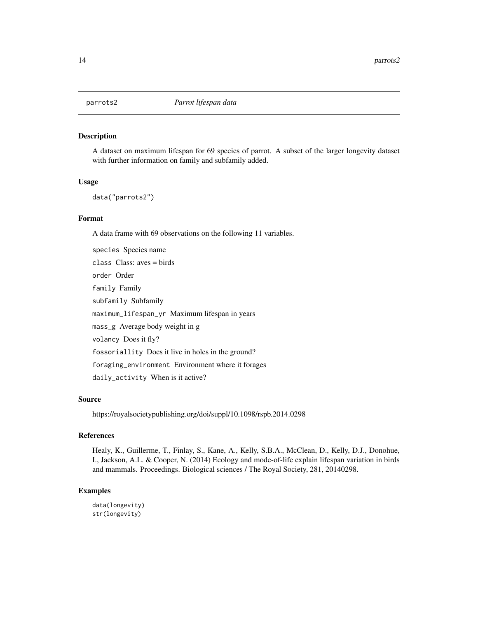<span id="page-13-0"></span>

A dataset on maximum lifespan for 69 species of parrot. A subset of the larger longevity dataset with further information on family and subfamily added.

#### Usage

data("parrots2")

#### Format

A data frame with 69 observations on the following 11 variables.

species Species name class Class: aves = birds order Order family Family subfamily Subfamily maximum\_lifespan\_yr Maximum lifespan in years mass\_g Average body weight in g volancy Does it fly? fossoriallity Does it live in holes in the ground? foraging\_environment Environment where it forages daily\_activity When is it active?

#### Source

https://royalsocietypublishing.org/doi/suppl/10.1098/rspb.2014.0298

### References

Healy, K., Guillerme, T., Finlay, S., Kane, A., Kelly, S.B.A., McClean, D., Kelly, D.J., Donohue, I., Jackson, A.L. & Cooper, N. (2014) Ecology and mode-of-life explain lifespan variation in birds and mammals. Proceedings. Biological sciences / The Royal Society, 281, 20140298.

```
data(longevity)
str(longevity)
```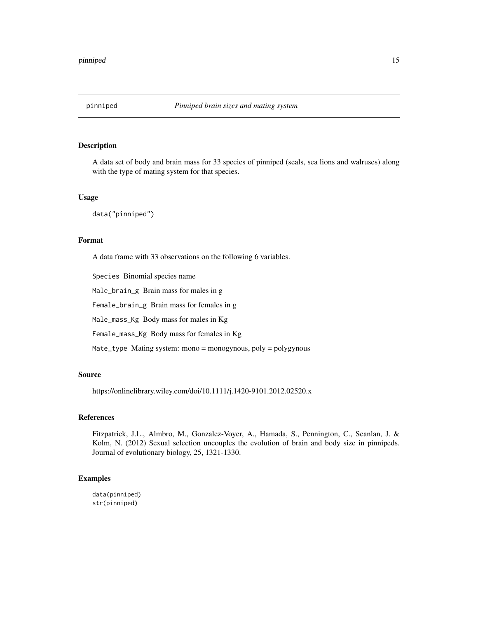<span id="page-14-0"></span>

A data set of body and brain mass for 33 species of pinniped (seals, sea lions and walruses) along with the type of mating system for that species.

#### Usage

data("pinniped")

#### Format

A data frame with 33 observations on the following 6 variables.

Species Binomial species name

Male\_brain\_g Brain mass for males in g

Female\_brain\_g Brain mass for females in g

Male\_mass\_Kg Body mass for males in Kg

Female\_mass\_Kg Body mass for females in Kg

Mate\_type Mating system: mono = monogynous, poly = polygynous

#### Source

https://onlinelibrary.wiley.com/doi/10.1111/j.1420-9101.2012.02520.x

#### References

Fitzpatrick, J.L., Almbro, M., Gonzalez-Voyer, A., Hamada, S., Pennington, C., Scanlan, J. & Kolm, N. (2012) Sexual selection uncouples the evolution of brain and body size in pinnipeds. Journal of evolutionary biology, 25, 1321-1330.

#### Examples

data(pinniped) str(pinniped)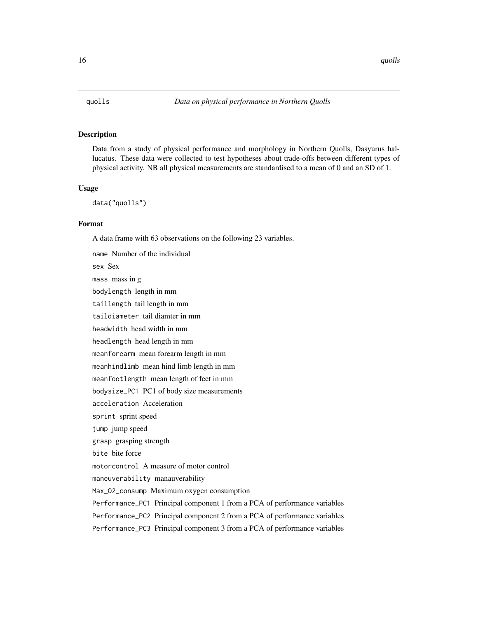<span id="page-15-0"></span>Data from a study of physical performance and morphology in Northern Quolls, Dasyurus hallucatus. These data were collected to test hypotheses about trade-offs between different types of physical activity. NB all physical measurements are standardised to a mean of 0 and an SD of 1.

#### Usage

data("quolls")

#### Format

A data frame with 63 observations on the following 23 variables.

name Number of the individual sex Sex mass mass in g bodylength length in mm taillength tail length in mm taildiameter tail diamter in mm headwidth head width in mm headlength head length in mm meanforearm mean forearm length in mm meanhindlimb mean hind limb length in mm meanfootlength mean length of feet in mm bodysize\_PC1 PC1 of body size measurements acceleration Acceleration sprint sprint speed jump jump speed grasp grasping strength bite bite force motorcontrol A measure of motor control maneuverability manauverability Max\_O2\_consump Maximum oxygen consumption Performance\_PC1 Principal component 1 from a PCA of performance variables Performance\_PC2 Principal component 2 from a PCA of performance variables Performance\_PC3 Principal component 3 from a PCA of performance variables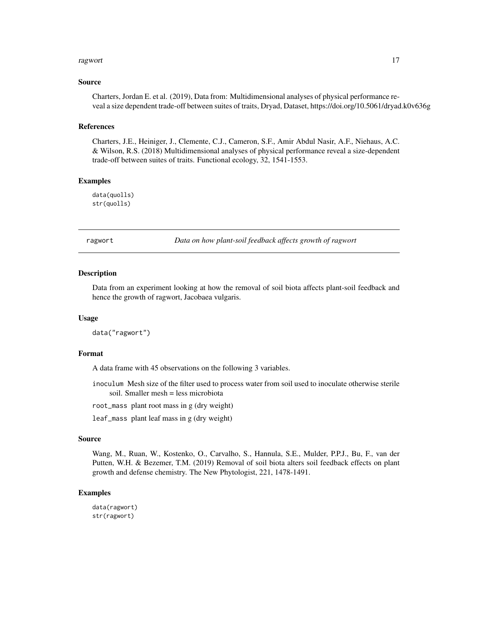#### <span id="page-16-0"></span>ragwort and the contract of the contract of the contract of the contract of the contract of the contract of the contract of the contract of the contract of the contract of the contract of the contract of the contract of th

#### Source

Charters, Jordan E. et al. (2019), Data from: Multidimensional analyses of physical performance reveal a size dependent trade-off between suites of traits, Dryad, Dataset, https://doi.org/10.5061/dryad.k0v636g

#### References

Charters, J.E., Heiniger, J., Clemente, C.J., Cameron, S.F., Amir Abdul Nasir, A.F., Niehaus, A.C. & Wilson, R.S. (2018) Multidimensional analyses of physical performance reveal a size-dependent trade-off between suites of traits. Functional ecology, 32, 1541-1553.

#### Examples

data(quolls) str(quolls)

ragwort *Data on how plant-soil feedback affects growth of ragwort*

#### Description

Data from an experiment looking at how the removal of soil biota affects plant-soil feedback and hence the growth of ragwort, Jacobaea vulgaris.

#### Usage

data("ragwort")

#### Format

A data frame with 45 observations on the following 3 variables.

inoculum Mesh size of the filter used to process water from soil used to inoculate otherwise sterile soil. Smaller mesh = less microbiota

root\_mass plant root mass in g (dry weight)

leaf\_mass plant leaf mass in g (dry weight)

#### Source

Wang, M., Ruan, W., Kostenko, O., Carvalho, S., Hannula, S.E., Mulder, P.P.J., Bu, F., van der Putten, W.H. & Bezemer, T.M. (2019) Removal of soil biota alters soil feedback effects on plant growth and defense chemistry. The New Phytologist, 221, 1478-1491.

#### Examples

data(ragwort) str(ragwort)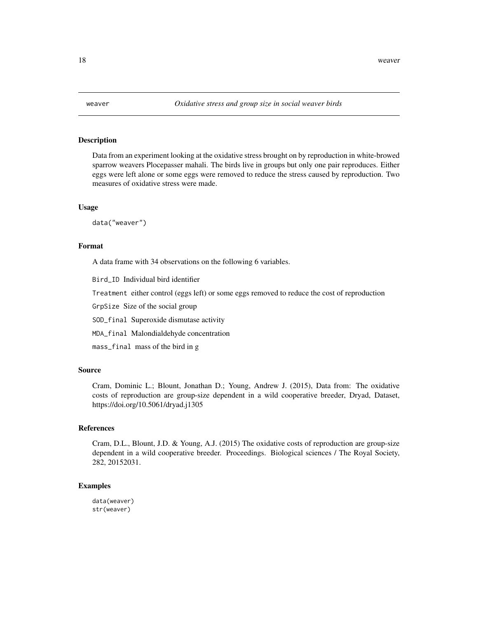<span id="page-17-0"></span>

Data from an experiment looking at the oxidative stress brought on by reproduction in white-browed sparrow weavers Plocepasser mahali. The birds live in groups but only one pair reproduces. Either eggs were left alone or some eggs were removed to reduce the stress caused by reproduction. Two measures of oxidative stress were made.

#### Usage

data("weaver")

#### Format

A data frame with 34 observations on the following 6 variables.

Bird\_ID Individual bird identifier

Treatment either control (eggs left) or some eggs removed to reduce the cost of reproduction

GrpSize Size of the social group

SOD\_final Superoxide dismutase activity

MDA\_final Malondialdehyde concentration

mass\_final mass of the bird in g

#### Source

Cram, Dominic L.; Blount, Jonathan D.; Young, Andrew J. (2015), Data from: The oxidative costs of reproduction are group-size dependent in a wild cooperative breeder, Dryad, Dataset, https://doi.org/10.5061/dryad.j1305

#### References

Cram, D.L., Blount, J.D. & Young, A.J. (2015) The oxidative costs of reproduction are group-size dependent in a wild cooperative breeder. Proceedings. Biological sciences / The Royal Society, 282, 20152031.

#### Examples

data(weaver) str(weaver)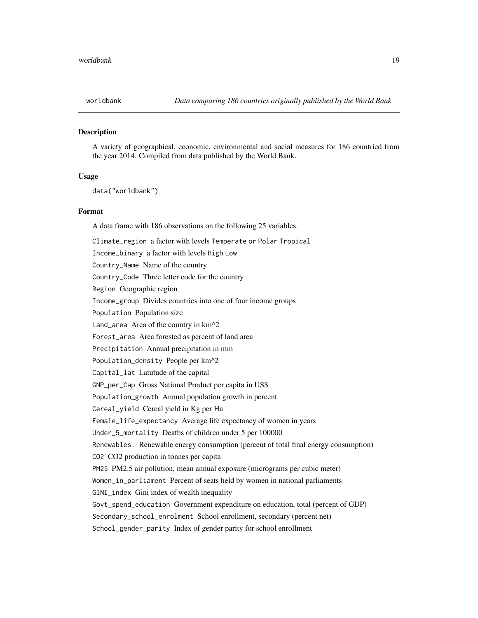<span id="page-18-0"></span>

A variety of geographical, economic, environmental and social measures for 186 countried from the year 2014. Compiled from data published by the World Bank.

#### Usage

```
data("worldbank")
```
#### Format

A data frame with 186 observations on the following 25 variables.

Climate\_region a factor with levels Temperate or Polar Tropical Income\_binary a factor with levels High Low Country\_Name Name of the country Country\_Code Three letter code for the country Region Geographic region Income\_group Divides countries into one of four income groups Population Population size Land\_area Area of the country in km^2 Forest\_area Area forested as percent of land area Precipitation Annual precipitation in mm Population\_density People per km^2 Capital\_lat Latutude of the capital GNP\_per\_Cap Gross National Product per capita in US\$ Population\_growth Annual population growth in percent Cereal\_yield Cereal yield in Kg per Ha Female\_life\_expectancy Average life expectancy of women in years Under\_5\_mortality Deaths of children under 5 per 100000 Renewables. Renewable energy consumption (percent of total final energy consumption) CO2 CO2 production in tonnes per capita PM25 PM2.5 air pollution, mean annual exposure (micrograms per cubic meter) Women\_in\_parliament Percent of seats held by women in national parliaments GINI\_index Gini index of wealth inequality Govt\_spend\_education Government expenditure on education, total (percent of GDP) Secondary\_school\_enrolment School enrollment, secondary (percent net) School\_gender\_parity Index of gender parity for school enrollment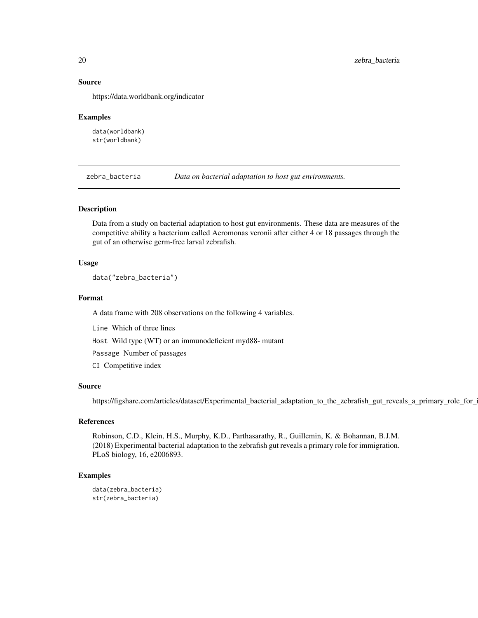#### Source

https://data.worldbank.org/indicator

#### Examples

data(worldbank) str(worldbank)

zebra\_bacteria *Data on bacterial adaptation to host gut environments.*

#### Description

Data from a study on bacterial adaptation to host gut environments. These data are measures of the competitive ability a bacterium called Aeromonas veronii after either 4 or 18 passages through the gut of an otherwise germ-free larval zebrafish.

#### Usage

data("zebra\_bacteria")

#### Format

A data frame with 208 observations on the following 4 variables.

Line Which of three lines

Host Wild type (WT) or an immunodeficient myd88- mutant

Passage Number of passages

CI Competitive index

#### Source

https://figshare.com/articles/dataset/Experimental\_bacterial\_adaptation\_to\_the\_zebrafish\_gut\_reveals\_a\_primary\_role\_for\_

#### References

Robinson, C.D., Klein, H.S., Murphy, K.D., Parthasarathy, R., Guillemin, K. & Bohannan, B.J.M. (2018) Experimental bacterial adaptation to the zebrafish gut reveals a primary role for immigration. PLoS biology, 16, e2006893.

```
data(zebra_bacteria)
str(zebra_bacteria)
```
<span id="page-19-0"></span>